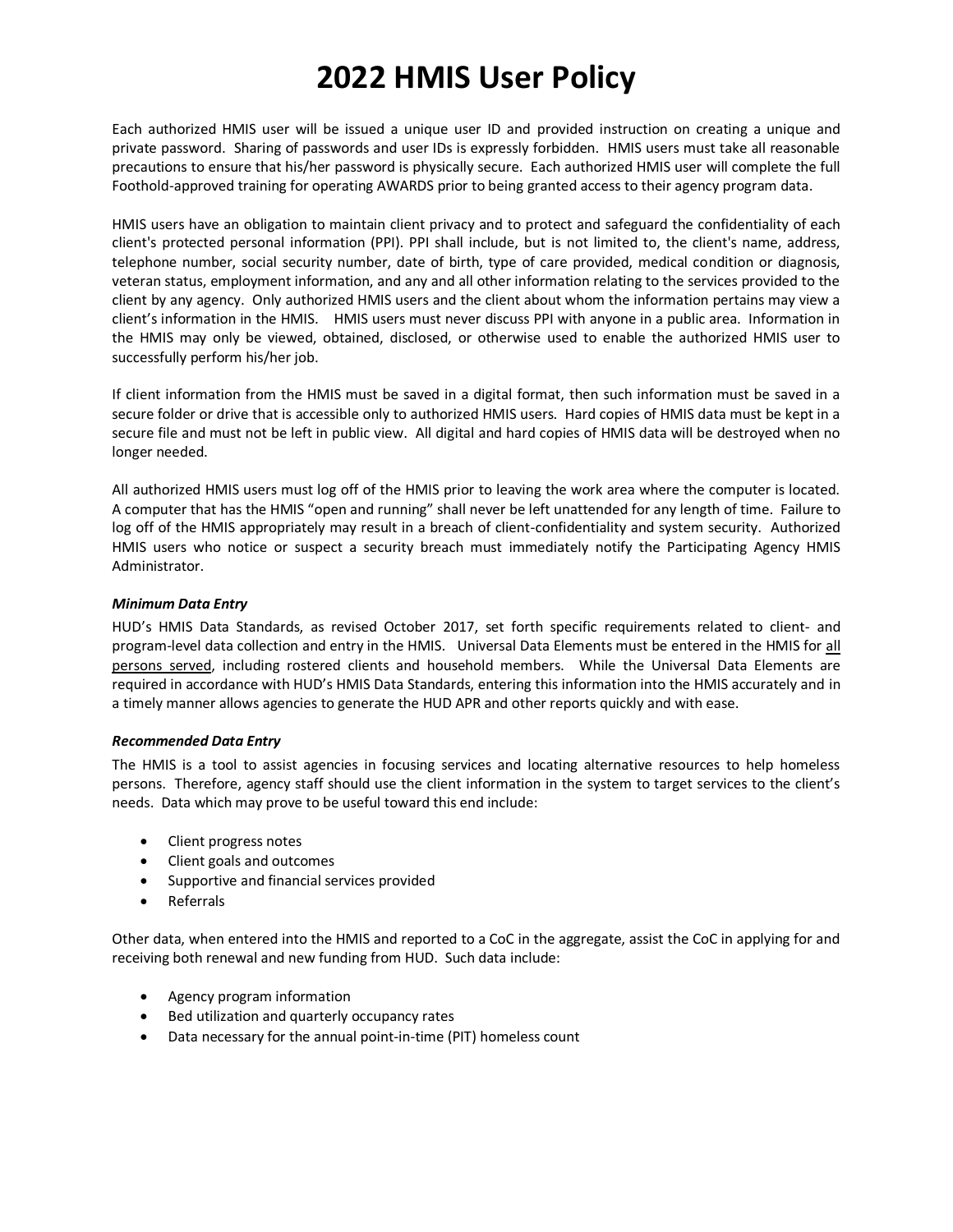# **2022 HMIS User Policy**

Each authorized HMIS user will be issued a unique user ID and provided instruction on creating a unique and private password. Sharing of passwords and user IDs is expressly forbidden. HMIS users must take all reasonable precautions to ensure that his/her password is physically secure. Each authorized HMIS user will complete the full Foothold-approved training for operating AWARDS prior to being granted access to their agency program data.

HMIS users have an obligation to maintain client privacy and to protect and safeguard the confidentiality of each client's protected personal information (PPI). PPI shall include, but is not limited to, the client's name, address, telephone number, social security number, date of birth, type of care provided, medical condition or diagnosis, veteran status, employment information, and any and all other information relating to the services provided to the client by any agency. Only authorized HMIS users and the client about whom the information pertains may view a client's information in the HMIS. HMIS users must never discuss PPI with anyone in a public area. Information in the HMIS may only be viewed, obtained, disclosed, or otherwise used to enable the authorized HMIS user to successfully perform his/her job.

If client information from the HMIS must be saved in a digital format, then such information must be saved in a secure folder or drive that is accessible only to authorized HMIS users. Hard copies of HMIS data must be kept in a secure file and must not be left in public view. All digital and hard copies of HMIS data will be destroyed when no longer needed.

All authorized HMIS users must log off of the HMIS prior to leaving the work area where the computer is located. A computer that has the HMIS "open and running" shall never be left unattended for any length of time. Failure to log off of the HMIS appropriately may result in a breach of client-confidentiality and system security. Authorized HMIS users who notice or suspect a security breach must immediately notify the Participating Agency HMIS Administrator.

### *Minimum Data Entry*

HUD's HMIS Data Standards, as revised October 2017, set forth specific requirements related to client- and program-level data collection and entry in the HMIS. Universal Data Elements must be entered in the HMIS for all persons served, including rostered clients and household members. While the Universal Data Elements are required in accordance with HUD's HMIS Data Standards, entering this information into the HMIS accurately and in a timely manner allows agencies to generate the HUD APR and other reports quickly and with ease.

### *Recommended Data Entry*

The HMIS is a tool to assist agencies in focusing services and locating alternative resources to help homeless persons. Therefore, agency staff should use the client information in the system to target services to the client's needs. Data which may prove to be useful toward this end include:

- Client progress notes
- Client goals and outcomes
- Supportive and financial services provided
- Referrals

Other data, when entered into the HMIS and reported to a CoC in the aggregate, assist the CoC in applying for and receiving both renewal and new funding from HUD. Such data include:

- Agency program information
- Bed utilization and quarterly occupancy rates
- Data necessary for the annual point-in-time (PIT) homeless count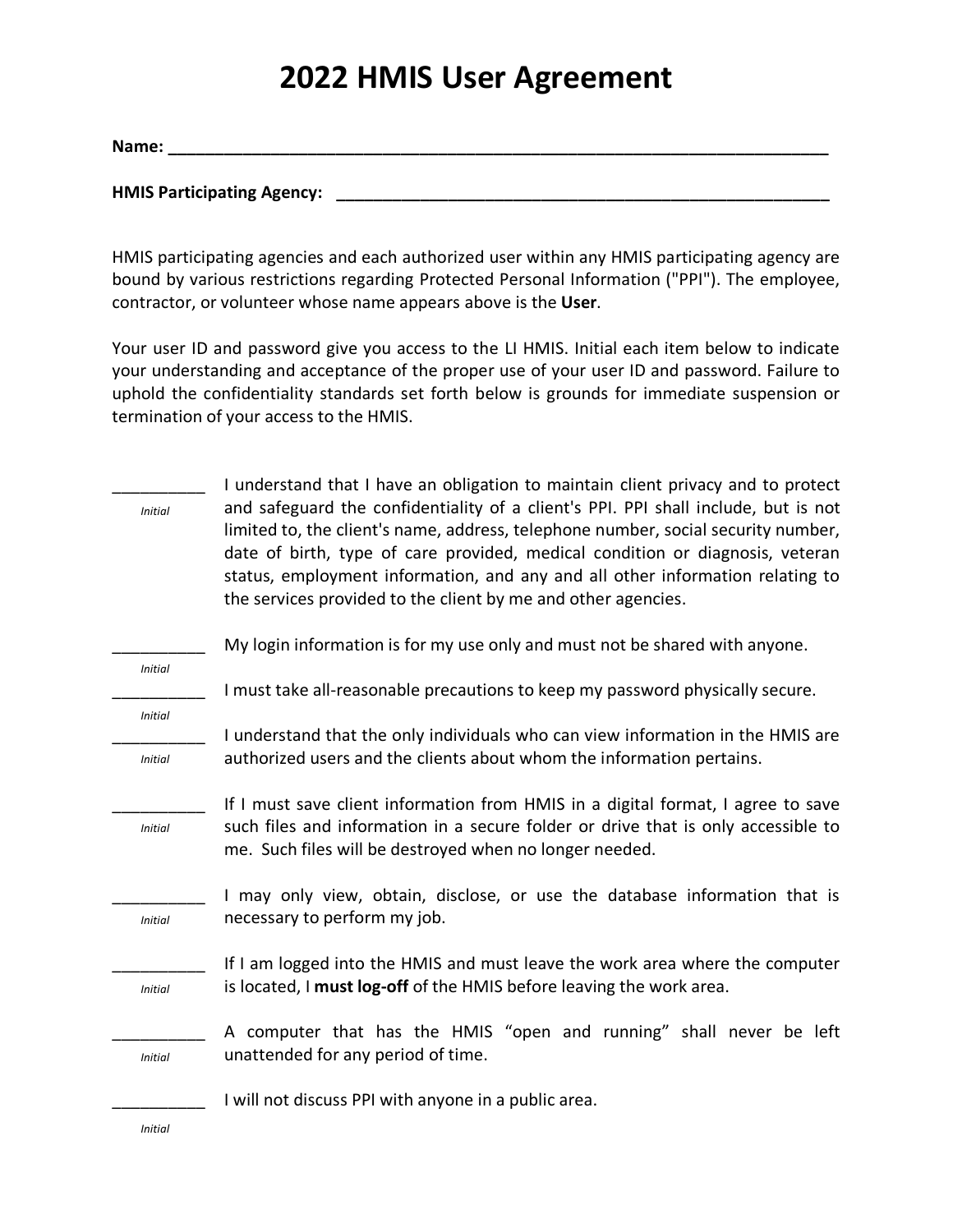## **2022 HMIS User Agreement**

**Name: \_\_\_\_\_\_\_\_\_\_\_\_\_\_\_\_\_\_\_\_\_\_\_\_\_\_\_\_\_\_\_\_\_\_\_\_\_\_\_\_\_\_\_\_\_\_\_\_\_\_\_\_\_\_\_\_\_\_\_\_\_\_\_\_\_\_\_\_\_\_\_**

**HMIS Participating Agency: \_\_\_\_\_\_\_\_\_\_\_\_\_\_\_\_\_\_\_\_\_\_\_\_\_\_\_\_\_\_\_\_\_\_\_\_\_\_\_\_\_\_\_\_\_\_\_\_\_\_\_\_\_**

HMIS participating agencies and each authorized user within any HMIS participating agency are bound by various restrictions regarding Protected Personal Information ("PPI"). The employee, contractor, or volunteer whose name appears above is the **User**.

Your user ID and password give you access to the LI HMIS. Initial each item below to indicate your understanding and acceptance of the proper use of your user ID and password. Failure to uphold the confidentiality standards set forth below is grounds for immediate suspension or termination of your access to the HMIS.

| <b>Initial</b> | I understand that I have an obligation to maintain client privacy and to protect<br>and safeguard the confidentiality of a client's PPI. PPI shall include, but is not<br>limited to, the client's name, address, telephone number, social security number,<br>date of birth, type of care provided, medical condition or diagnosis, veteran<br>status, employment information, and any and all other information relating to |  |  |  |
|----------------|-------------------------------------------------------------------------------------------------------------------------------------------------------------------------------------------------------------------------------------------------------------------------------------------------------------------------------------------------------------------------------------------------------------------------------|--|--|--|
|                | the services provided to the client by me and other agencies.                                                                                                                                                                                                                                                                                                                                                                 |  |  |  |
| <b>Initial</b> | My login information is for my use only and must not be shared with anyone.                                                                                                                                                                                                                                                                                                                                                   |  |  |  |
|                | I must take all-reasonable precautions to keep my password physically secure.                                                                                                                                                                                                                                                                                                                                                 |  |  |  |
| <b>Initial</b> | I understand that the only individuals who can view information in the HMIS are                                                                                                                                                                                                                                                                                                                                               |  |  |  |
| <b>Initial</b> | authorized users and the clients about whom the information pertains.                                                                                                                                                                                                                                                                                                                                                         |  |  |  |
|                | If I must save client information from HMIS in a digital format, I agree to save                                                                                                                                                                                                                                                                                                                                              |  |  |  |
| <b>Initial</b> | such files and information in a secure folder or drive that is only accessible to<br>me. Such files will be destroyed when no longer needed.                                                                                                                                                                                                                                                                                  |  |  |  |
|                | I may only view, obtain, disclose, or use the database information that is                                                                                                                                                                                                                                                                                                                                                    |  |  |  |
| <b>Initial</b> | necessary to perform my job.                                                                                                                                                                                                                                                                                                                                                                                                  |  |  |  |
|                | If I am logged into the HMIS and must leave the work area where the computer                                                                                                                                                                                                                                                                                                                                                  |  |  |  |
| <b>Initial</b> | is located, I must log-off of the HMIS before leaving the work area.                                                                                                                                                                                                                                                                                                                                                          |  |  |  |
|                | A computer that has the HMIS "open and running" shall never be left                                                                                                                                                                                                                                                                                                                                                           |  |  |  |
| <b>Initial</b> | unattended for any period of time.                                                                                                                                                                                                                                                                                                                                                                                            |  |  |  |
|                | I will not discuss PPI with anyone in a public area.                                                                                                                                                                                                                                                                                                                                                                          |  |  |  |
| Initial        |                                                                                                                                                                                                                                                                                                                                                                                                                               |  |  |  |